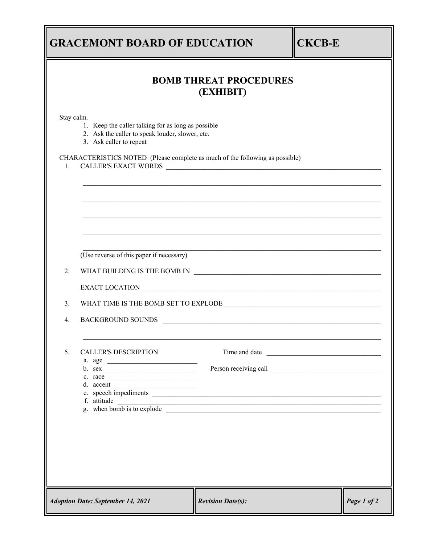|                                            | <b>GRACEMONT BOARD OF EDUCATION</b>                                                                                                   |                                                                                  | <b>CKCB-E</b> |             |  |  |  |
|--------------------------------------------|---------------------------------------------------------------------------------------------------------------------------------------|----------------------------------------------------------------------------------|---------------|-------------|--|--|--|
| <b>BOMB THREAT PROCEDURES</b><br>(EXHIBIT) |                                                                                                                                       |                                                                                  |               |             |  |  |  |
| Stay calm.                                 | 1. Keep the caller talking for as long as possible<br>2. Ask the caller to speak louder, slower, etc.<br>3. Ask caller to repeat      |                                                                                  |               |             |  |  |  |
| 1.                                         | CHARACTERISTICS NOTED (Please complete as much of the following as possible)                                                          | ,我们也不能在这里的时候,我们也不能在这里的时候,我们也不能会不能会不能会不能会不能会不能会不能会。""我们的人们也不能会不能会不能会不能会不能会不能会不能会不 |               |             |  |  |  |
|                                            |                                                                                                                                       |                                                                                  |               |             |  |  |  |
|                                            | (Use reverse of this paper if necessary)                                                                                              |                                                                                  |               |             |  |  |  |
| 2.                                         | WHAT BUILDING IS THE BOMB IN $\begin{array}{ c c c }\hline \rule{0mm}{1.2cm} & \rule{2mm}{2.2cm} \multicolumn{3}{ c }{W} \end{array}$ |                                                                                  |               |             |  |  |  |
|                                            |                                                                                                                                       |                                                                                  |               |             |  |  |  |
| 3.                                         |                                                                                                                                       |                                                                                  |               |             |  |  |  |
| $\overline{4}$ .                           | BACKGROUND SOUNDS PACKGROUND SOUNDS                                                                                                   |                                                                                  |               |             |  |  |  |
| 5.                                         | <b>CALLER'S DESCRIPTION</b>                                                                                                           |                                                                                  |               |             |  |  |  |
|                                            |                                                                                                                                       |                                                                                  |               |             |  |  |  |
|                                            | c. race $\qquad \qquad$<br>d. accent $\qquad \qquad$                                                                                  |                                                                                  |               |             |  |  |  |
|                                            | f. attitude<br>g. when bomb is to explode                                                                                             |                                                                                  |               |             |  |  |  |
|                                            |                                                                                                                                       |                                                                                  |               |             |  |  |  |
|                                            |                                                                                                                                       |                                                                                  |               |             |  |  |  |
|                                            |                                                                                                                                       |                                                                                  |               |             |  |  |  |
|                                            |                                                                                                                                       |                                                                                  |               |             |  |  |  |
|                                            | <b>Adoption Date: September 14, 2021</b>                                                                                              | <b>Revision Date(s):</b>                                                         |               | Page 1 of 2 |  |  |  |